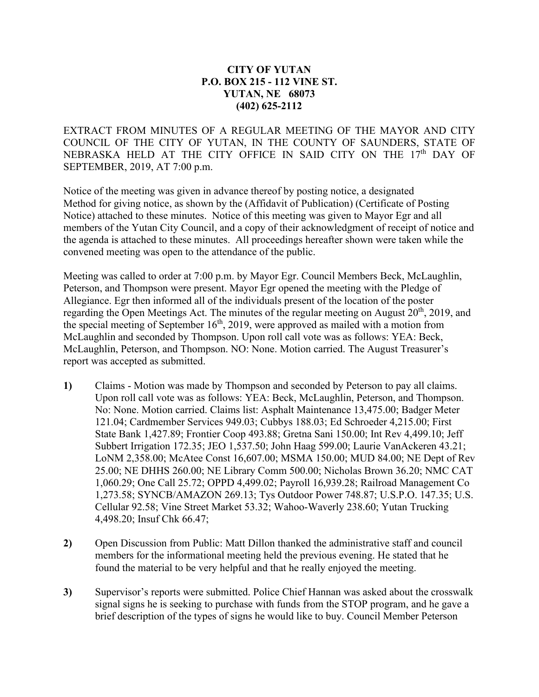## **CITY OF YUTAN P.O. BOX 215 - 112 VINE ST. YUTAN, NE 68073 (402) 625-2112**

EXTRACT FROM MINUTES OF A REGULAR MEETING OF THE MAYOR AND CITY COUNCIL OF THE CITY OF YUTAN, IN THE COUNTY OF SAUNDERS, STATE OF NEBRASKA HELD AT THE CITY OFFICE IN SAID CITY ON THE 17<sup>th</sup> DAY OF SEPTEMBER, 2019, AT 7:00 p.m.

Notice of the meeting was given in advance thereof by posting notice, a designated Method for giving notice, as shown by the (Affidavit of Publication) (Certificate of Posting Notice) attached to these minutes. Notice of this meeting was given to Mayor Egr and all members of the Yutan City Council, and a copy of their acknowledgment of receipt of notice and the agenda is attached to these minutes. All proceedings hereafter shown were taken while the convened meeting was open to the attendance of the public.

Meeting was called to order at 7:00 p.m. by Mayor Egr. Council Members Beck, McLaughlin, Peterson, and Thompson were present. Mayor Egr opened the meeting with the Pledge of Allegiance. Egr then informed all of the individuals present of the location of the poster regarding the Open Meetings Act. The minutes of the regular meeting on August  $20<sup>th</sup>$ , 2019, and the special meeting of September  $16<sup>th</sup>$ , 2019, were approved as mailed with a motion from McLaughlin and seconded by Thompson. Upon roll call vote was as follows: YEA: Beck, McLaughlin, Peterson, and Thompson. NO: None. Motion carried. The August Treasurer's report was accepted as submitted.

- **1)** Claims Motion was made by Thompson and seconded by Peterson to pay all claims. Upon roll call vote was as follows: YEA: Beck, McLaughlin, Peterson, and Thompson. No: None. Motion carried. Claims list: Asphalt Maintenance 13,475.00; Badger Meter 121.04; Cardmember Services 949.03; Cubbys 188.03; Ed Schroeder 4,215.00; First State Bank 1,427.89; Frontier Coop 493.88; Gretna Sani 150.00; Int Rev 4,499.10; Jeff Subbert Irrigation 172.35; JEO 1,537.50; John Haag 599.00; Laurie VanAckeren 43.21; LoNM 2,358.00; McAtee Const 16,607.00; MSMA 150.00; MUD 84.00; NE Dept of Rev 25.00; NE DHHS 260.00; NE Library Comm 500.00; Nicholas Brown 36.20; NMC CAT 1,060.29; One Call 25.72; OPPD 4,499.02; Payroll 16,939.28; Railroad Management Co 1,273.58; SYNCB/AMAZON 269.13; Tys Outdoor Power 748.87; U.S.P.O. 147.35; U.S. Cellular 92.58; Vine Street Market 53.32; Wahoo-Waverly 238.60; Yutan Trucking 4,498.20; Insuf Chk 66.47;
- **2)** Open Discussion from Public: Matt Dillon thanked the administrative staff and council members for the informational meeting held the previous evening. He stated that he found the material to be very helpful and that he really enjoyed the meeting.
- **3)** Supervisor's reports were submitted. Police Chief Hannan was asked about the crosswalk signal signs he is seeking to purchase with funds from the STOP program, and he gave a brief description of the types of signs he would like to buy. Council Member Peterson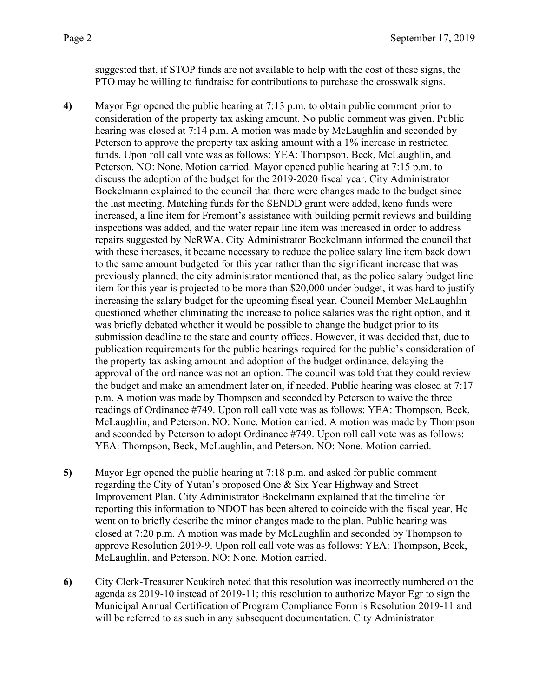suggested that, if STOP funds are not available to help with the cost of these signs, the PTO may be willing to fundraise for contributions to purchase the crosswalk signs.

- **4)** Mayor Egr opened the public hearing at 7:13 p.m. to obtain public comment prior to consideration of the property tax asking amount. No public comment was given. Public hearing was closed at 7:14 p.m. A motion was made by McLaughlin and seconded by Peterson to approve the property tax asking amount with a 1% increase in restricted funds. Upon roll call vote was as follows: YEA: Thompson, Beck, McLaughlin, and Peterson. NO: None. Motion carried. Mayor opened public hearing at 7:15 p.m. to discuss the adoption of the budget for the 2019-2020 fiscal year. City Administrator Bockelmann explained to the council that there were changes made to the budget since the last meeting. Matching funds for the SENDD grant were added, keno funds were increased, a line item for Fremont's assistance with building permit reviews and building inspections was added, and the water repair line item was increased in order to address repairs suggested by NeRWA. City Administrator Bockelmann informed the council that with these increases, it became necessary to reduce the police salary line item back down to the same amount budgeted for this year rather than the significant increase that was previously planned; the city administrator mentioned that, as the police salary budget line item for this year is projected to be more than \$20,000 under budget, it was hard to justify increasing the salary budget for the upcoming fiscal year. Council Member McLaughlin questioned whether eliminating the increase to police salaries was the right option, and it was briefly debated whether it would be possible to change the budget prior to its submission deadline to the state and county offices. However, it was decided that, due to publication requirements for the public hearings required for the public's consideration of the property tax asking amount and adoption of the budget ordinance, delaying the approval of the ordinance was not an option. The council was told that they could review the budget and make an amendment later on, if needed. Public hearing was closed at 7:17 p.m. A motion was made by Thompson and seconded by Peterson to waive the three readings of Ordinance #749. Upon roll call vote was as follows: YEA: Thompson, Beck, McLaughlin, and Peterson. NO: None. Motion carried. A motion was made by Thompson and seconded by Peterson to adopt Ordinance #749. Upon roll call vote was as follows: YEA: Thompson, Beck, McLaughlin, and Peterson. NO: None. Motion carried.
- **5)** Mayor Egr opened the public hearing at 7:18 p.m. and asked for public comment regarding the City of Yutan's proposed One & Six Year Highway and Street Improvement Plan. City Administrator Bockelmann explained that the timeline for reporting this information to NDOT has been altered to coincide with the fiscal year. He went on to briefly describe the minor changes made to the plan. Public hearing was closed at 7:20 p.m. A motion was made by McLaughlin and seconded by Thompson to approve Resolution 2019-9. Upon roll call vote was as follows: YEA: Thompson, Beck, McLaughlin, and Peterson. NO: None. Motion carried.
- **6)** City Clerk-Treasurer Neukirch noted that this resolution was incorrectly numbered on the agenda as 2019-10 instead of 2019-11; this resolution to authorize Mayor Egr to sign the Municipal Annual Certification of Program Compliance Form is Resolution 2019-11 and will be referred to as such in any subsequent documentation. City Administrator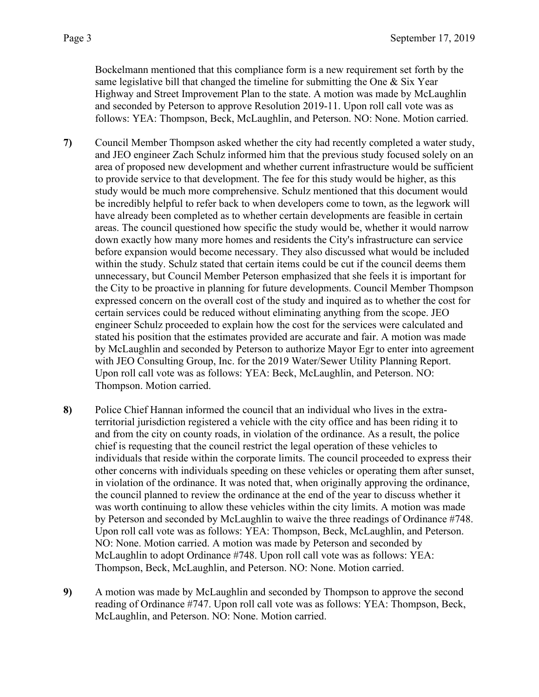Bockelmann mentioned that this compliance form is a new requirement set forth by the same legislative bill that changed the timeline for submitting the One  $\&$  Six Year Highway and Street Improvement Plan to the state. A motion was made by McLaughlin and seconded by Peterson to approve Resolution 2019-11. Upon roll call vote was as follows: YEA: Thompson, Beck, McLaughlin, and Peterson. NO: None. Motion carried.

- **7)** Council Member Thompson asked whether the city had recently completed a water study, and JEO engineer Zach Schulz informed him that the previous study focused solely on an area of proposed new development and whether current infrastructure would be sufficient to provide service to that development. The fee for this study would be higher, as this study would be much more comprehensive. Schulz mentioned that this document would be incredibly helpful to refer back to when developers come to town, as the legwork will have already been completed as to whether certain developments are feasible in certain areas. The council questioned how specific the study would be, whether it would narrow down exactly how many more homes and residents the City's infrastructure can service before expansion would become necessary. They also discussed what would be included within the study. Schulz stated that certain items could be cut if the council deems them unnecessary, but Council Member Peterson emphasized that she feels it is important for the City to be proactive in planning for future developments. Council Member Thompson expressed concern on the overall cost of the study and inquired as to whether the cost for certain services could be reduced without eliminating anything from the scope. JEO engineer Schulz proceeded to explain how the cost for the services were calculated and stated his position that the estimates provided are accurate and fair. A motion was made by McLaughlin and seconded by Peterson to authorize Mayor Egr to enter into agreement with JEO Consulting Group, Inc. for the 2019 Water/Sewer Utility Planning Report. Upon roll call vote was as follows: YEA: Beck, McLaughlin, and Peterson. NO: Thompson. Motion carried.
- **8)** Police Chief Hannan informed the council that an individual who lives in the extraterritorial jurisdiction registered a vehicle with the city office and has been riding it to and from the city on county roads, in violation of the ordinance. As a result, the police chief is requesting that the council restrict the legal operation of these vehicles to individuals that reside within the corporate limits. The council proceeded to express their other concerns with individuals speeding on these vehicles or operating them after sunset, in violation of the ordinance. It was noted that, when originally approving the ordinance, the council planned to review the ordinance at the end of the year to discuss whether it was worth continuing to allow these vehicles within the city limits. A motion was made by Peterson and seconded by McLaughlin to waive the three readings of Ordinance #748. Upon roll call vote was as follows: YEA: Thompson, Beck, McLaughlin, and Peterson. NO: None. Motion carried. A motion was made by Peterson and seconded by McLaughlin to adopt Ordinance #748. Upon roll call vote was as follows: YEA: Thompson, Beck, McLaughlin, and Peterson. NO: None. Motion carried.
- **9)** A motion was made by McLaughlin and seconded by Thompson to approve the second reading of Ordinance #747. Upon roll call vote was as follows: YEA: Thompson, Beck, McLaughlin, and Peterson. NO: None. Motion carried.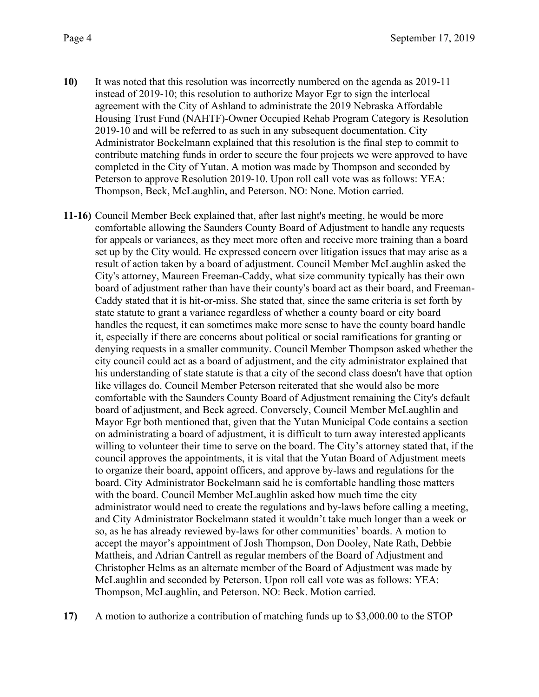- **10)** It was noted that this resolution was incorrectly numbered on the agenda as 2019-11 instead of 2019-10; this resolution to authorize Mayor Egr to sign the interlocal agreement with the City of Ashland to administrate the 2019 Nebraska Affordable Housing Trust Fund (NAHTF)-Owner Occupied Rehab Program Category is Resolution 2019-10 and will be referred to as such in any subsequent documentation. City Administrator Bockelmann explained that this resolution is the final step to commit to contribute matching funds in order to secure the four projects we were approved to have completed in the City of Yutan. A motion was made by Thompson and seconded by Peterson to approve Resolution 2019-10. Upon roll call vote was as follows: YEA: Thompson, Beck, McLaughlin, and Peterson. NO: None. Motion carried.
- **11-16)** Council Member Beck explained that, after last night's meeting, he would be more comfortable allowing the Saunders County Board of Adjustment to handle any requests for appeals or variances, as they meet more often and receive more training than a board set up by the City would. He expressed concern over litigation issues that may arise as a result of action taken by a board of adjustment. Council Member McLaughlin asked the City's attorney, Maureen Freeman-Caddy, what size community typically has their own board of adjustment rather than have their county's board act as their board, and Freeman-Caddy stated that it is hit-or-miss. She stated that, since the same criteria is set forth by state statute to grant a variance regardless of whether a county board or city board handles the request, it can sometimes make more sense to have the county board handle it, especially if there are concerns about political or social ramifications for granting or denying requests in a smaller community. Council Member Thompson asked whether the city council could act as a board of adjustment, and the city administrator explained that his understanding of state statute is that a city of the second class doesn't have that option like villages do. Council Member Peterson reiterated that she would also be more comfortable with the Saunders County Board of Adjustment remaining the City's default board of adjustment, and Beck agreed. Conversely, Council Member McLaughlin and Mayor Egr both mentioned that, given that the Yutan Municipal Code contains a section on administrating a board of adjustment, it is difficult to turn away interested applicants willing to volunteer their time to serve on the board. The City's attorney stated that, if the council approves the appointments, it is vital that the Yutan Board of Adjustment meets to organize their board, appoint officers, and approve by-laws and regulations for the board. City Administrator Bockelmann said he is comfortable handling those matters with the board. Council Member McLaughlin asked how much time the city administrator would need to create the regulations and by-laws before calling a meeting, and City Administrator Bockelmann stated it wouldn't take much longer than a week or so, as he has already reviewed by-laws for other communities' boards. A motion to accept the mayor's appointment of Josh Thompson, Don Dooley, Nate Rath, Debbie Mattheis, and Adrian Cantrell as regular members of the Board of Adjustment and Christopher Helms as an alternate member of the Board of Adjustment was made by McLaughlin and seconded by Peterson. Upon roll call vote was as follows: YEA: Thompson, McLaughlin, and Peterson. NO: Beck. Motion carried.
- **17)** A motion to authorize a contribution of matching funds up to \$3,000.00 to the STOP